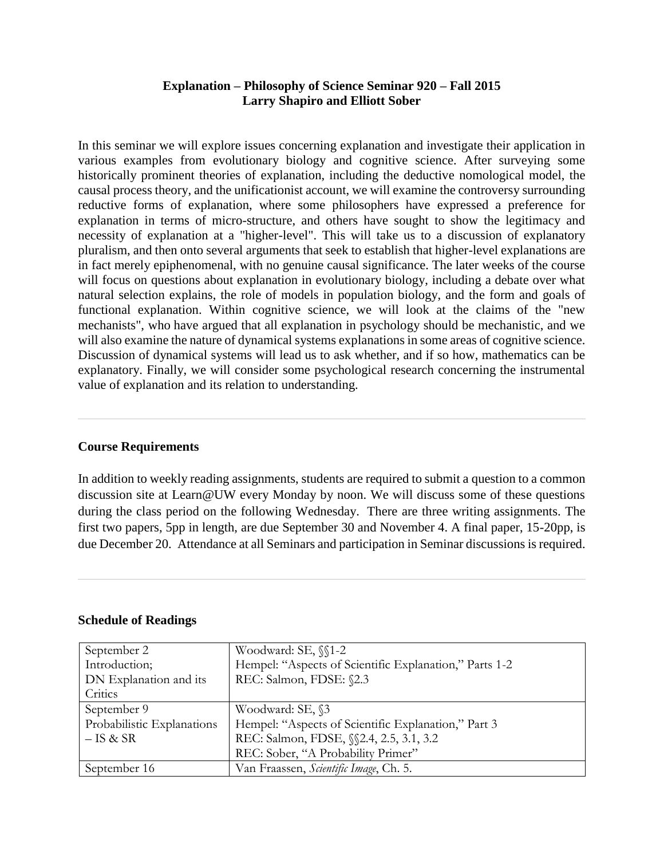## **Explanation – Philosophy of Science Seminar 920 – Fall 2015 Larry Shapiro and Elliott Sober**

In this seminar we will explore issues concerning explanation and investigate their application in various examples from evolutionary biology and cognitive science. After surveying some historically prominent theories of explanation, including the deductive nomological model, the causal process theory, and the unificationist account, we will examine the controversy surrounding reductive forms of explanation, where some philosophers have expressed a preference for explanation in terms of micro-structure, and others have sought to show the legitimacy and necessity of explanation at a "higher-level". This will take us to a discussion of explanatory pluralism, and then onto several arguments that seek to establish that higher-level explanations are in fact merely epiphenomenal, with no genuine causal significance. The later weeks of the course will focus on questions about explanation in evolutionary biology, including a debate over what natural selection explains, the role of models in population biology, and the form and goals of functional explanation. Within cognitive science, we will look at the claims of the "new mechanists", who have argued that all explanation in psychology should be mechanistic, and we will also examine the nature of dynamical systems explanations in some areas of cognitive science. Discussion of dynamical systems will lead us to ask whether, and if so how, mathematics can be explanatory. Finally, we will consider some psychological research concerning the instrumental value of explanation and its relation to understanding.

## **Course Requirements**

In addition to weekly reading assignments, students are required to submit a question to a common discussion site at Learn@UW every Monday by noon. We will discuss some of these questions during the class period on the following Wednesday. There are three writing assignments. The first two papers, 5pp in length, are due September 30 and November 4. A final paper, 15-20pp, is due December 20. Attendance at all Seminars and participation in Seminar discussions is required.

## **Schedule of Readings**

| September 2                | Woodward: SE, $\sqrt{1-2}$                             |
|----------------------------|--------------------------------------------------------|
| Introduction;              | Hempel: "Aspects of Scientific Explanation," Parts 1-2 |
| DN Explanation and its     | REC: Salmon, FDSE: §2.3                                |
| Critics                    |                                                        |
| September 9                | Woodward: SE, §3                                       |
| Probabilistic Explanations | Hempel: "Aspects of Scientific Explanation," Part 3    |
| $-$ IS & SR                | REC: Salmon, FDSE, §§2.4, 2.5, 3.1, 3.2                |
|                            | REC: Sober, "A Probability Primer"                     |
| September 16               | Van Fraassen, Scientific Image, Ch. 5.                 |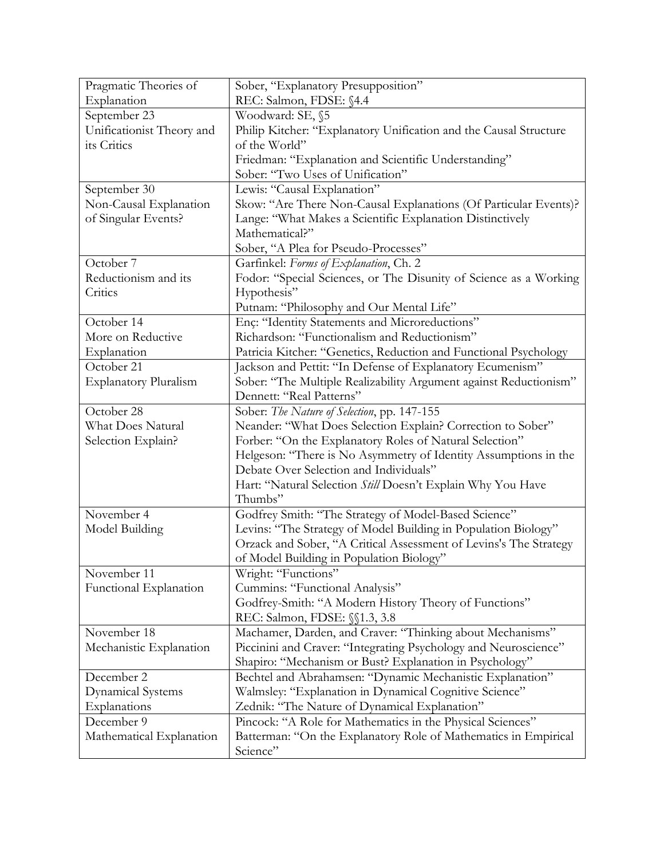| Pragmatic Theories of        | Sober, "Explanatory Presupposition"                               |
|------------------------------|-------------------------------------------------------------------|
| Explanation                  | REC: Salmon, FDSE: §4.4                                           |
| September 23                 | Woodward: SE, §5                                                  |
| Unificationist Theory and    | Philip Kitcher: "Explanatory Unification and the Causal Structure |
| its Critics                  | of the World"                                                     |
|                              | Friedman: "Explanation and Scientific Understanding"              |
|                              | Sober: "Two Uses of Unification"                                  |
| September 30                 | Lewis: "Causal Explanation"                                       |
| Non-Causal Explanation       | Skow: "Are There Non-Causal Explanations (Of Particular Events)?  |
| of Singular Events?          | Lange: "What Makes a Scientific Explanation Distinctively         |
|                              | Mathematical?"                                                    |
|                              | Sober, "A Plea for Pseudo-Processes"                              |
| October 7                    | Garfinkel: Forms of Explanation, Ch. 2                            |
| Reductionism and its         | Fodor: "Special Sciences, or The Disunity of Science as a Working |
| Critics                      | Hypothesis"                                                       |
|                              | Putnam: "Philosophy and Our Mental Life"                          |
| October 14                   | Enç: "Identity Statements and Microreductions"                    |
| More on Reductive            | Richardson: "Functionalism and Reductionism"                      |
| Explanation                  | Patricia Kitcher: "Genetics, Reduction and Functional Psychology  |
| October 21                   | Jackson and Pettit: "In Defense of Explanatory Ecumenism"         |
| <b>Explanatory Pluralism</b> | Sober: "The Multiple Realizability Argument against Reductionism" |
|                              | Dennett: "Real Patterns"                                          |
| October 28                   | Sober: The Nature of Selection, pp. 147-155                       |
| What Does Natural            | Neander: "What Does Selection Explain? Correction to Sober"       |
| Selection Explain?           | Forber: "On the Explanatory Roles of Natural Selection"           |
|                              | Helgeson: "There is No Asymmetry of Identity Assumptions in the   |
|                              | Debate Over Selection and Individuals"                            |
|                              | Hart: "Natural Selection Still Doesn't Explain Why You Have       |
|                              | Thumbs"                                                           |
| November 4                   | Godfrey Smith: "The Strategy of Model-Based Science"              |
| Model Building               | Levins: "The Strategy of Model Building in Population Biology"    |
|                              | Orzack and Sober, "A Critical Assessment of Levins's The Strategy |
|                              | of Model Building in Population Biology"                          |
| November 11                  | Wright: "Functions"                                               |
| Functional Explanation       | Cummins: "Functional Analysis"                                    |
|                              | Godfrey-Smith: "A Modern History Theory of Functions"             |
|                              | REC: Salmon, FDSE: $\S$ 1.3, 3.8                                  |
| November 18                  | Machamer, Darden, and Craver: "Thinking about Mechanisms"         |
| Mechanistic Explanation      | Piccinini and Craver: "Integrating Psychology and Neuroscience"   |
|                              | Shapiro: "Mechanism or Bust? Explanation in Psychology"           |
| December 2                   | Bechtel and Abrahamsen: "Dynamic Mechanistic Explanation"         |
| <b>Dynamical Systems</b>     | Walmsley: "Explanation in Dynamical Cognitive Science"            |
| Explanations                 | Zednik: "The Nature of Dynamical Explanation"                     |
| December 9                   | Pincock: "A Role for Mathematics in the Physical Sciences"        |
| Mathematical Explanation     | Batterman: "On the Explanatory Role of Mathematics in Empirical   |
|                              | Science"                                                          |